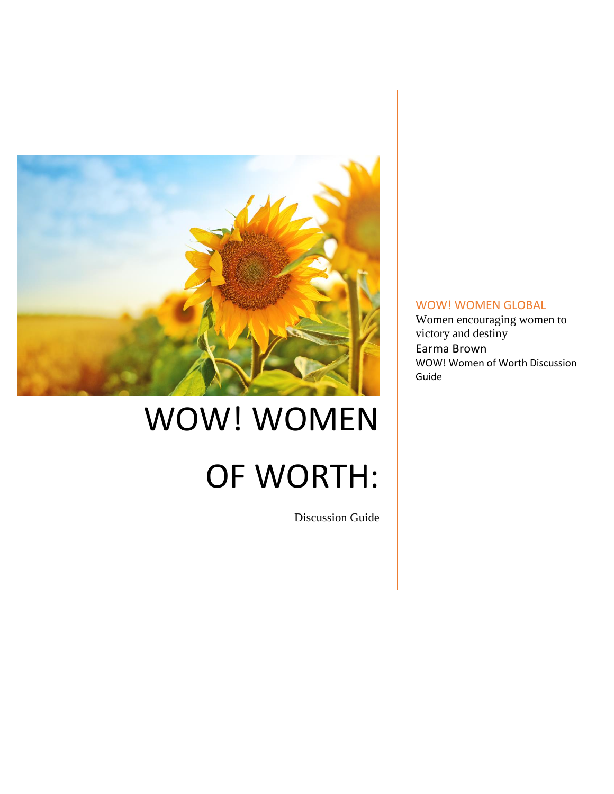

# WOW! WOMEN OF WORTH:

Discussion Guide

# WOW! WOMEN GLOBAL

Women encouraging women to victory and destiny Earma Brown WOW! Women of Worth Discussion Guide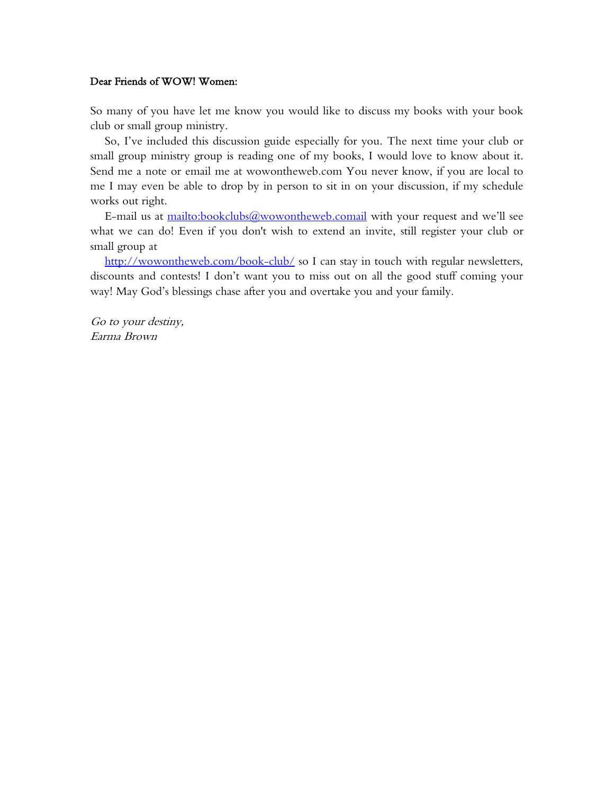#### Dear Friends of WOW! Women:

So many of you have let me know you would like to discuss my books with your book club or small group ministry.

So, I've included this discussion guide especially for you. The next time your club or small group ministry group is reading one of my books, I would love to know about it. Send me a note or email me at wowontheweb.com You never know, if you are local to me I may even be able to drop by in person to sit in on your discussion, if my schedule works out right.

E-mail us at<mailto:bookclubs@wowontheweb.comail> with your request and we'll see what we can do! Even if you don't wish to extend an invite, still register your club or small group at

<http://wowontheweb.com/book-club/> so I can stay in touch with regular newsletters, discounts and contests! I don't want you to miss out on all the good stuff coming your way! May God's blessings chase after you and overtake you and your family.

Go to your destiny, Earma Brown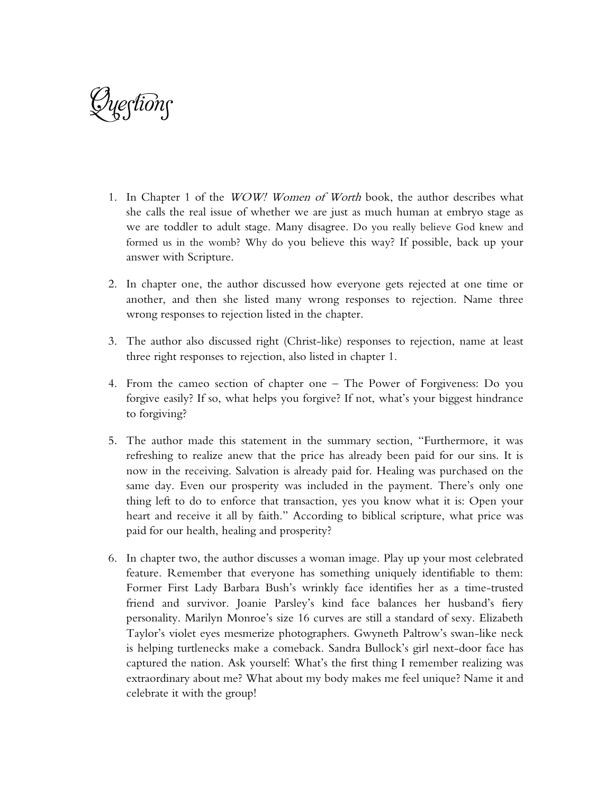Questions

- 1. In Chapter 1 of the *WOW! Women of Worth* book, the author describes what she calls the real issue of whether we are just as much human at embryo stage as we are toddler to adult stage. Many disagree. Do you really believe God knew and formed us in the womb? Why do you believe this way? If possible, back up your answer with Scripture.
- 2. In chapter one, the author discussed how everyone gets rejected at one time or another, and then she listed many wrong responses to rejection. Name three wrong responses to rejection listed in the chapter.
- 3. The author also discussed right (Christ-like) responses to rejection, name at least three right responses to rejection, also listed in chapter 1.
- 4. From the cameo section of chapter one The Power of Forgiveness: Do you forgive easily? If so, what helps you forgive? If not, what's your biggest hindrance to forgiving?
- 5. The author made this statement in the summary section, "Furthermore, it was refreshing to realize anew that the price has already been paid for our sins. It is now in the receiving. Salvation is already paid for. Healing was purchased on the same day. Even our prosperity was included in the payment. There's only one thing left to do to enforce that transaction, yes you know what it is: Open your heart and receive it all by faith." According to biblical scripture, what price was paid for our health, healing and prosperity?
- 6. In chapter two, the author discusses a woman image. Play up your most celebrated feature. Remember that everyone has something uniquely identifiable to them: Former First Lady Barbara Bush's wrinkly face identifies her as a time-trusted friend and survivor. Joanie Parsley's kind face balances her husband's fiery personality. Marilyn Monroe's size 16 curves are still a standard of sexy. Elizabeth Taylor's violet eyes mesmerize photographers. Gwyneth Paltrow's swan-like neck is helping turtlenecks make a comeback. Sandra Bullock's girl next-door face has captured the nation. Ask yourself: What's the first thing I remember realizing was extraordinary about me? What about my body makes me feel unique? Name it and celebrate it with the group!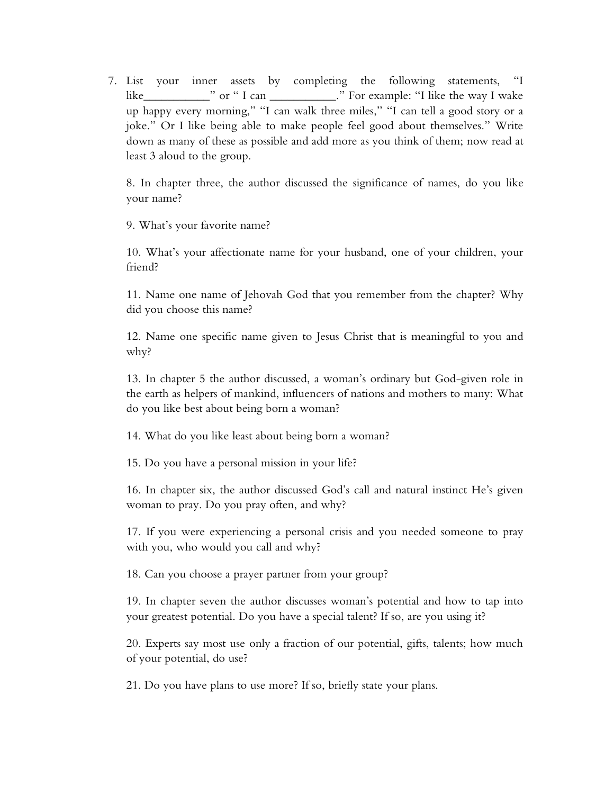7. List your inner assets by completing the following statements, "I like\_\_\_\_\_\_\_\_\_\_\_" or " I can \_\_\_\_\_\_\_\_\_\_\_." For example: "I like the way I wake up happy every morning," "I can walk three miles," "I can tell a good story or a joke." Or I like being able to make people feel good about themselves." Write down as many of these as possible and add more as you think of them; now read at least 3 aloud to the group.

8. In chapter three, the author discussed the significance of names, do you like your name?

9. What's your favorite name?

10. What's your affectionate name for your husband, one of your children, your friend?

11. Name one name of Jehovah God that you remember from the chapter? Why did you choose this name?

12. Name one specific name given to Jesus Christ that is meaningful to you and why?

13. In chapter 5 the author discussed, a woman's ordinary but God-given role in the earth as helpers of mankind, influencers of nations and mothers to many: What do you like best about being born a woman?

14. What do you like least about being born a woman?

15. Do you have a personal mission in your life?

16. In chapter six, the author discussed God's call and natural instinct He's given woman to pray. Do you pray often, and why?

17. If you were experiencing a personal crisis and you needed someone to pray with you, who would you call and why?

18. Can you choose a prayer partner from your group?

19. In chapter seven the author discusses woman's potential and how to tap into your greatest potential. Do you have a special talent? If so, are you using it?

20. Experts say most use only a fraction of our potential, gifts, talents; how much of your potential, do use?

21. Do you have plans to use more? If so, briefly state your plans.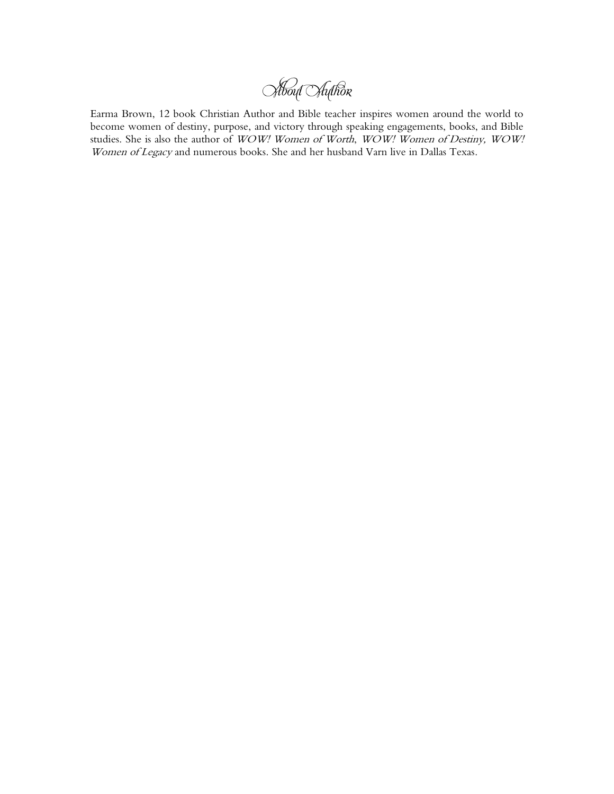About Author

Earma Brown, 12 book Christian Author and Bible teacher inspires women around the world to become women of destiny, purpose, and victory through speaking engagements, books, and Bible studies. She is also the author of WOW! Women of Worth, WOW! Women of Destiny, WOW! Women of Legacy and numerous books. She and her husband Varn live in Dallas Texas.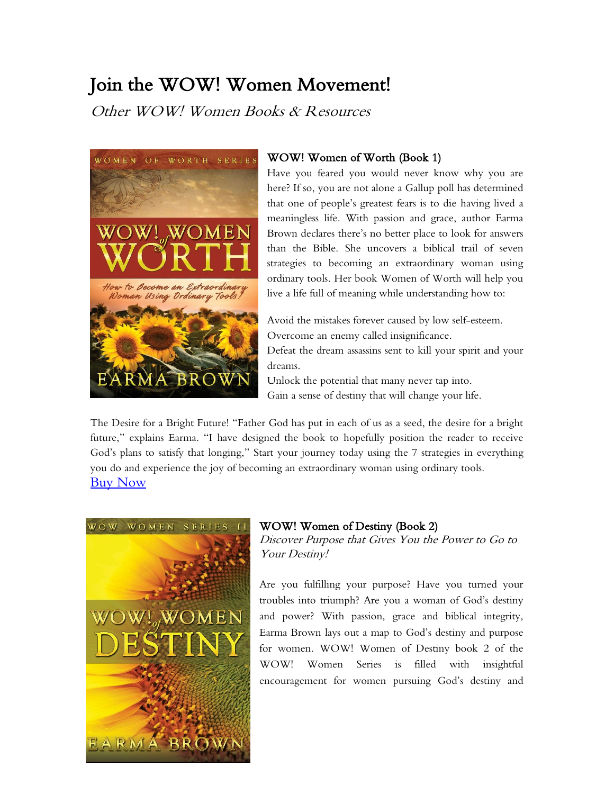# Join the WOW! Women Movement!

Other WOW! Women Books & Resources



# WOW! Women of Worth (Book 1)

Have you feared you would never know why you are here? If so, you are not alone a Gallup poll has determined that one of people's greatest fears is to die having lived a meaningless life. With passion and grace, author Earma Brown declares there's no better place to look for answers than the Bible. She uncovers a biblical trail of seven strategies to becoming an extraordinary woman using ordinary tools. Her book Women of Worth will help you live a life full of meaning while understanding how to:

Avoid the mistakes forever caused by low self-esteem. Overcome an enemy called insignificance.

Defeat the dream assassins sent to kill your spirit and your dreams.

Unlock the potential that many never tap into. Gain a sense of destiny that will change your life.

The Desire for a Bright Future! "Father God has put in each of us as a seed, the desire for a bright future," explains Earma. "I have designed the book to hopefully position the reader to receive God's plans to satisfy that longing," Start your journey today using the 7 strategies in everything you do and experience the joy of becoming an extraordinary woman using ordinary tools. [Buy Now](http://wowontheweb.com/shop/)



## WOW! Women of Destiny (Book 2)

Discover Purpose that Gives You the Power to Go to Your Destiny!

Are you fulfilling your purpose? Have you turned your troubles into triumph? Are you a woman of God's destiny and power? With passion, grace and biblical integrity, Earma Brown lays out a map to God's destiny and purpose for women. WOW! Women of Destiny book 2 of the WOW! Women Series is filled with insightful encouragement for women pursuing God's destiny and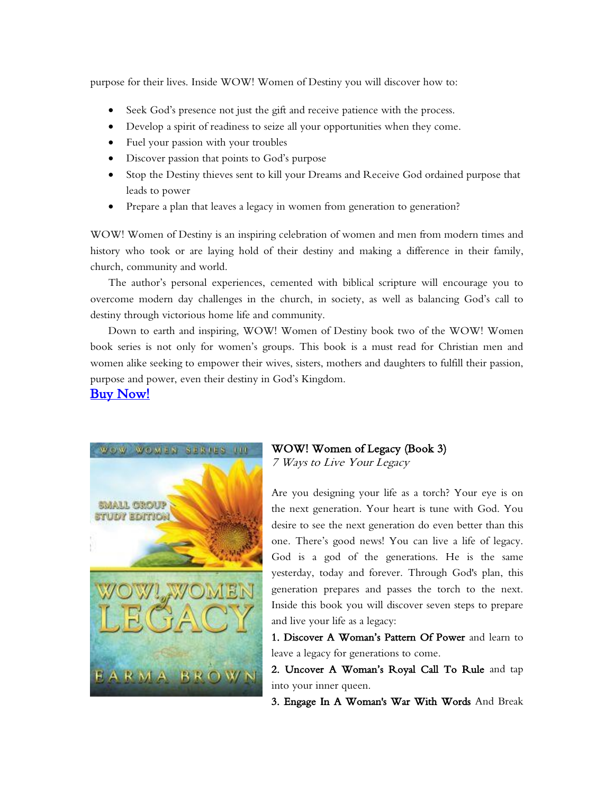purpose for their lives. Inside WOW! Women of Destiny you will discover how to:

- Seek God's presence not just the gift and receive patience with the process.
- Develop a spirit of readiness to seize all your opportunities when they come.
- Fuel your passion with your troubles
- Discover passion that points to God's purpose
- Stop the Destiny thieves sent to kill your Dreams and Receive God ordained purpose that leads to power
- Prepare a plan that leaves a legacy in women from generation to generation?

WOW! Women of Destiny is an inspiring celebration of women and men from modern times and history who took or are laying hold of their destiny and making a difference in their family, church, community and world.

The author's personal experiences, cemented with biblical scripture will encourage you to overcome modern day challenges in the church, in society, as well as balancing God's call to destiny through victorious home life and community.

Down to earth and inspiring, WOW! Women of Destiny book two of the WOW! Women book series is not only for women's groups. This book is a must read for Christian men and women alike seeking to empower their wives, sisters, mothers and daughters to fulfill their passion, purpose and power, even their destiny in God's Kingdom.

## [Buy Now!](http://wowontheweb.com/shop/)



#### WOW! Women of Legacy (Book 3) 7 Ways to Live Your Legacy

Are you designing your life as a torch? Your eye is on the next generation. Your heart is tune with God. You desire to see the next generation do even better than this one. There's good news! You can live a life of legacy. God is a god of the generations. He is the same yesterday, today and forever. Through God's plan, this generation prepares and passes the torch to the next. Inside this book you will discover seven steps to prepare and live your life as a legacy:

1. Discover A Woman's Pattern Of Power and learn to leave a legacy for generations to come.

2. Uncover A Woman's Royal Call To Rule and tap into your inner queen.

3. Engage In A Woman's War With Words And Break